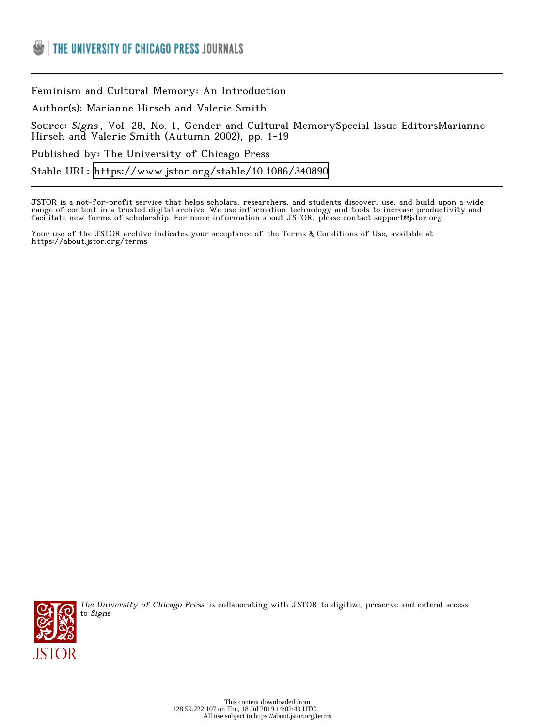# Feminism and Cultural Memory: An Introduction

Author(s): Marianne Hirsch and Valerie Smith

Source: Signs , Vol. 28, No. 1, Gender and Cultural MemorySpecial Issue EditorsMarianne Hirsch and Valerie Smith (Autumn 2002), pp. 1-19

Published by: The University of Chicago Press

Stable URL:<https://www.jstor.org/stable/10.1086/340890>

JSTOR is a not-for-profit service that helps scholars, researchers, and students discover, use, and build upon a wide range of content in a trusted digital archive. We use information technology and tools to increase productivity and facilitate new forms of scholarship. For more information about JSTOR, please contact support@jstor.org.

Your use of the JSTOR archive indicates your acceptance of the Terms & Conditions of Use, available at https://about.jstor.org/terms



The University of Chicago Press is collaborating with JSTOR to digitize, preserve and extend access to Signs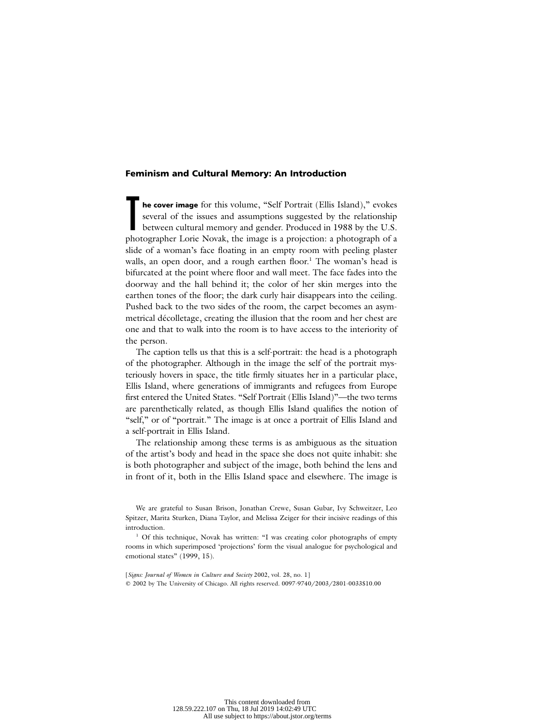# **Feminism and Cultural Memory: An Introduction**

**he cover image** for this volume, "Self Portrait (Ellis Island)," evokes several of the issues and assumptions suggested by the relationship between cultural memory and gender. Produced in 1988 by the U.S. photographer Lor **he cover image** for this volume, "Self Portrait (Ellis Island)," evokes several of the issues and assumptions suggested by the relationship between cultural memory and gender. Produced in 1988 by the U.S. slide of a woman's face floating in an empty room with peeling plaster walls, an open door, and a rough earthen floor.<sup>1</sup> The woman's head is bifurcated at the point where floor and wall meet. The face fades into the doorway and the hall behind it; the color of her skin merges into the earthen tones of the floor; the dark curly hair disappears into the ceiling. Pushed back to the two sides of the room, the carpet becomes an asymmetrical décolletage, creating the illusion that the room and her chest are one and that to walk into the room is to have access to the interiority of the person.

The caption tells us that this is a self-portrait: the head is a photograph of the photographer. Although in the image the self of the portrait mysteriously hovers in space, the title firmly situates her in a particular place, Ellis Island, where generations of immigrants and refugees from Europe first entered the United States. "Self Portrait (Ellis Island)"—the two terms are parenthetically related, as though Ellis Island qualifies the notion of "self," or of "portrait." The image is at once a portrait of Ellis Island and a self-portrait in Ellis Island.

The relationship among these terms is as ambiguous as the situation of the artist's body and head in the space she does not quite inhabit: she is both photographer and subject of the image, both behind the lens and in front of it, both in the Ellis Island space and elsewhere. The image is

[*Signs: Journal of Women in Culture and Society* 2002, vol. 28, no. 1] 2002 by The University of Chicago. All rights reserved. 0097-9740/2003/2801-0033\$10.00

We are grateful to Susan Brison, Jonathan Crewe, Susan Gubar, Ivy Schweitzer, Leo Spitzer, Marita Sturken, Diana Taylor, and Melissa Zeiger for their incisive readings of this introduction.

<sup>&</sup>lt;sup>1</sup> Of this technique, Novak has written: "I was creating color photographs of empty rooms in which superimposed 'projections' form the visual analogue for psychological and emotional states" (1999, 15).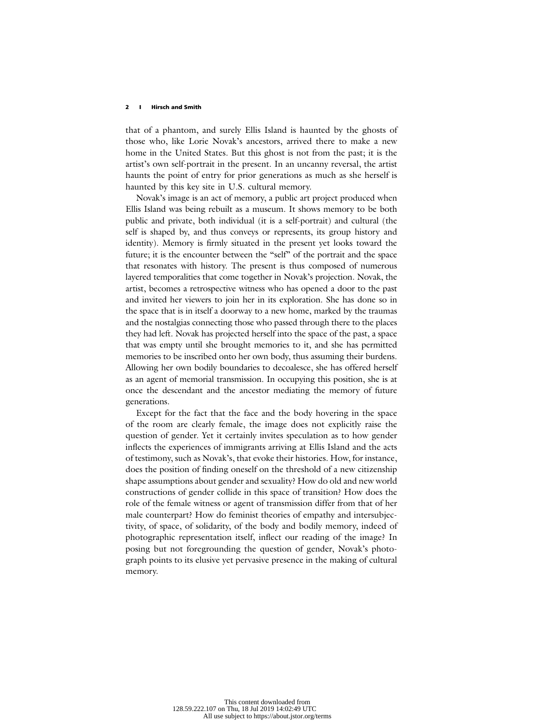that of a phantom, and surely Ellis Island is haunted by the ghosts of those who, like Lorie Novak's ancestors, arrived there to make a new home in the United States. But this ghost is not from the past; it is the artist's own self-portrait in the present. In an uncanny reversal, the artist haunts the point of entry for prior generations as much as she herself is haunted by this key site in U.S. cultural memory.

Novak's image is an act of memory, a public art project produced when Ellis Island was being rebuilt as a museum. It shows memory to be both public and private, both individual (it is a self-portrait) and cultural (the self is shaped by, and thus conveys or represents, its group history and identity). Memory is firmly situated in the present yet looks toward the future; it is the encounter between the "self" of the portrait and the space that resonates with history. The present is thus composed of numerous layered temporalities that come together in Novak's projection. Novak, the artist, becomes a retrospective witness who has opened a door to the past and invited her viewers to join her in its exploration. She has done so in the space that is in itself a doorway to a new home, marked by the traumas and the nostalgias connecting those who passed through there to the places they had left. Novak has projected herself into the space of the past, a space that was empty until she brought memories to it, and she has permitted memories to be inscribed onto her own body, thus assuming their burdens. Allowing her own bodily boundaries to decoalesce, she has offered herself as an agent of memorial transmission. In occupying this position, she is at once the descendant and the ancestor mediating the memory of future generations.

Except for the fact that the face and the body hovering in the space of the room are clearly female, the image does not explicitly raise the question of gender. Yet it certainly invites speculation as to how gender inflects the experiences of immigrants arriving at Ellis Island and the acts of testimony, such as Novak's, that evoke their histories. How, for instance, does the position of finding oneself on the threshold of a new citizenship shape assumptions about gender and sexuality? How do old and new world constructions of gender collide in this space of transition? How does the role of the female witness or agent of transmission differ from that of her male counterpart? How do feminist theories of empathy and intersubjectivity, of space, of solidarity, of the body and bodily memory, indeed of photographic representation itself, inflect our reading of the image? In posing but not foregrounding the question of gender, Novak's photograph points to its elusive yet pervasive presence in the making of cultural memory.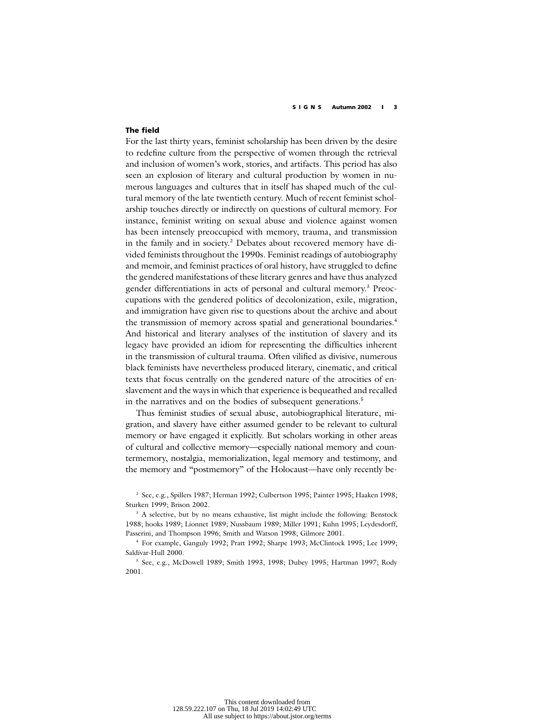# **The field**

For the last thirty years, feminist scholarship has been driven by the desire to redefine culture from the perspective of women through the retrieval and inclusion of women's work, stories, and artifacts. This period has also seen an explosion of literary and cultural production by women in numerous languages and cultures that in itself has shaped much of the cultural memory of the late twentieth century. Much of recent feminist scholarship touches directly or indirectly on questions of cultural memory. For instance, feminist writing on sexual abuse and violence against women has been intensely preoccupied with memory, trauma, and transmission in the family and in society.<sup>2</sup> Debates about recovered memory have divided feminists throughout the 1990s. Feminist readings of autobiography and memoir, and feminist practices of oral history, have struggled to define the gendered manifestations of these literary genres and have thus analyzed gender differentiations in acts of personal and cultural memory.<sup>3</sup> Preoccupations with the gendered politics of decolonization, exile, migration, and immigration have given rise to questions about the archive and about the transmission of memory across spatial and generational boundaries.<sup>4</sup> And historical and literary analyses of the institution of slavery and its legacy have provided an idiom for representing the difficulties inherent in the transmission of cultural trauma. Often vilified as divisive, numerous black feminists have nevertheless produced literary, cinematic, and critical texts that focus centrally on the gendered nature of the atrocities of enslavement and the ways in which that experience is bequeathed and recalled in the narratives and on the bodies of subsequent generations.<sup>5</sup>

Thus feminist studies of sexual abuse, autobiographical literature, migration, and slavery have either assumed gender to be relevant to cultural memory or have engaged it explicitly. But scholars working in other areas of cultural and collective memory—especially national memory and countermemory, nostalgia, memorialization, legal memory and testimony, and the memory and "postmemory" of the Holocaust—have only recently be-

<sup>2</sup> See, e.g., Spillers 1987; Herman 1992; Culbertson 1995; Painter 1995; Haaken 1998; Sturken 1999; Brison 2002.

<sup>3</sup> A selective, but by no means exhaustive, list might include the following: Benstock 1988; hooks 1989; Lionnet 1989; Nussbaum 1989; Miller 1991; Kuhn 1995; Leydesdorff, Passerini, and Thompson 1996; Smith and Watson 1998; Gilmore 2001.

<sup>4</sup> For example, Ganguly 1992; Pratt 1992; Sharpe 1993; McClintock 1995; Lee 1999; Saldívar-Hull 2000.

<sup>5</sup> See, e.g., McDowell 1989; Smith 1993, 1998; Dubey 1995; Hartman 1997; Rody 2001.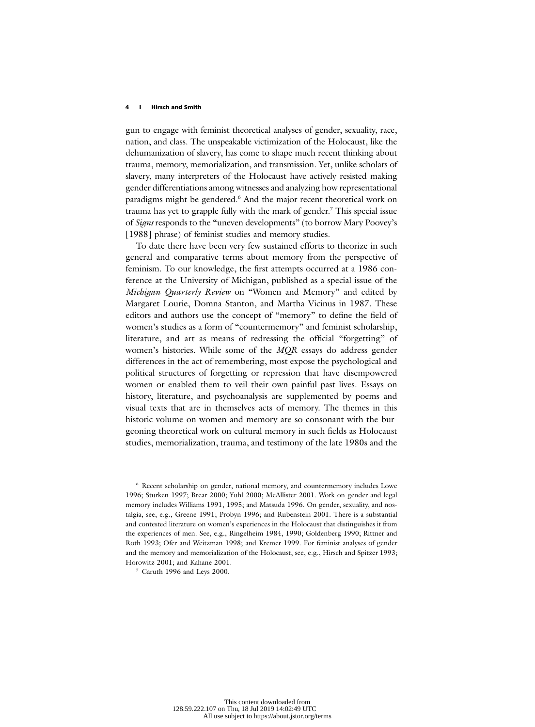gun to engage with feminist theoretical analyses of gender, sexuality, race, nation, and class. The unspeakable victimization of the Holocaust, like the dehumanization of slavery, has come to shape much recent thinking about trauma, memory, memorialization, and transmission. Yet, unlike scholars of slavery, many interpreters of the Holocaust have actively resisted making gender differentiations among witnesses and analyzing how representational paradigms might be gendered.<sup>6</sup> And the major recent theoretical work on trauma has yet to grapple fully with the mark of gender.<sup>7</sup> This special issue of *Signs* responds to the "uneven developments" (to borrow Mary Poovey's [1988] phrase) of feminist studies and memory studies.

To date there have been very few sustained efforts to theorize in such general and comparative terms about memory from the perspective of feminism. To our knowledge, the first attempts occurred at a 1986 conference at the University of Michigan, published as a special issue of the *Michigan Quarterly Review* on "Women and Memory" and edited by Margaret Lourie, Domna Stanton, and Martha Vicinus in 1987. These editors and authors use the concept of "memory" to define the field of women's studies as a form of "countermemory" and feminist scholarship, literature, and art as means of redressing the official "forgetting" of women's histories. While some of the *MQR* essays do address gender differences in the act of remembering, most expose the psychological and political structures of forgetting or repression that have disempowered women or enabled them to veil their own painful past lives. Essays on history, literature, and psychoanalysis are supplemented by poems and visual texts that are in themselves acts of memory. The themes in this historic volume on women and memory are so consonant with the burgeoning theoretical work on cultural memory in such fields as Holocaust studies, memorialization, trauma, and testimony of the late 1980s and the

<sup>6</sup> Recent scholarship on gender, national memory, and countermemory includes Lowe 1996; Sturken 1997; Brear 2000; Yuhl 2000; McAllister 2001. Work on gender and legal memory includes Williams 1991, 1995; and Matsuda 1996. On gender, sexuality, and nostalgia, see, e.g., Greene 1991; Probyn 1996; and Rubenstein 2001. There is a substantial and contested literature on women's experiences in the Holocaust that distinguishes it from the experiences of men. See, e.g., Ringelheim 1984, 1990; Goldenberg 1990; Rittner and Roth 1993; Ofer and Weitzman 1998; and Kremer 1999. For feminist analyses of gender and the memory and memorialization of the Holocaust, see, e.g., Hirsch and Spitzer 1993; Horowitz 2001; and Kahane 2001.

<sup>7</sup> Caruth 1996 and Leys 2000.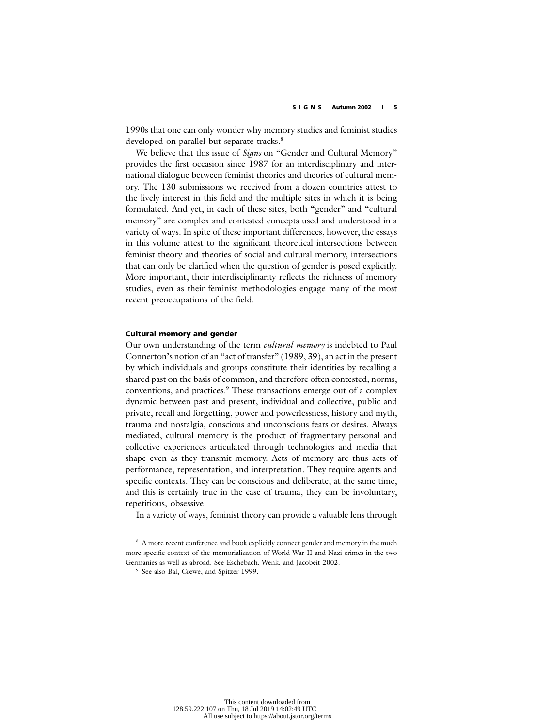1990s that one can only wonder why memory studies and feminist studies developed on parallel but separate tracks.<sup>8</sup>

We believe that this issue of *Signs* on "Gender and Cultural Memory" provides the first occasion since 1987 for an interdisciplinary and international dialogue between feminist theories and theories of cultural memory. The 130 submissions we received from a dozen countries attest to the lively interest in this field and the multiple sites in which it is being formulated. And yet, in each of these sites, both "gender" and "cultural memory" are complex and contested concepts used and understood in a variety of ways. In spite of these important differences, however, the essays in this volume attest to the significant theoretical intersections between feminist theory and theories of social and cultural memory, intersections that can only be clarified when the question of gender is posed explicitly. More important, their interdisciplinarity reflects the richness of memory studies, even as their feminist methodologies engage many of the most recent preoccupations of the field.

# **Cultural memory and gender**

Our own understanding of the term *cultural memory* is indebted to Paul Connerton's notion of an "act of transfer" (1989, 39), an act in the present by which individuals and groups constitute their identities by recalling a shared past on the basis of common, and therefore often contested, norms, conventions, and practices.<sup>9</sup> These transactions emerge out of a complex dynamic between past and present, individual and collective, public and private, recall and forgetting, power and powerlessness, history and myth, trauma and nostalgia, conscious and unconscious fears or desires. Always mediated, cultural memory is the product of fragmentary personal and collective experiences articulated through technologies and media that shape even as they transmit memory. Acts of memory are thus acts of performance, representation, and interpretation. They require agents and specific contexts. They can be conscious and deliberate; at the same time, and this is certainly true in the case of trauma, they can be involuntary, repetitious, obsessive.

In a variety of ways, feminist theory can provide a valuable lens through

<sup>&</sup>lt;sup>8</sup> A more recent conference and book explicitly connect gender and memory in the much more specific context of the memorialization of World War II and Nazi crimes in the two Germanies as well as abroad. See Eschebach, Wenk, and Jacobeit 2002.

<sup>9</sup> See also Bal, Crewe, and Spitzer 1999.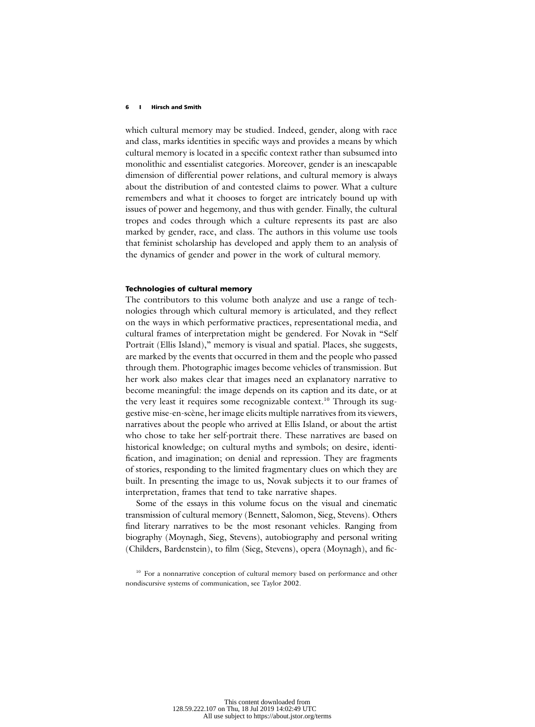which cultural memory may be studied. Indeed, gender, along with race and class, marks identities in specific ways and provides a means by which cultural memory is located in a specific context rather than subsumed into monolithic and essentialist categories. Moreover, gender is an inescapable dimension of differential power relations, and cultural memory is always about the distribution of and contested claims to power. What a culture remembers and what it chooses to forget are intricately bound up with issues of power and hegemony, and thus with gender. Finally, the cultural tropes and codes through which a culture represents its past are also marked by gender, race, and class. The authors in this volume use tools that feminist scholarship has developed and apply them to an analysis of the dynamics of gender and power in the work of cultural memory.

# **Technologies of cultural memory**

The contributors to this volume both analyze and use a range of technologies through which cultural memory is articulated, and they reflect on the ways in which performative practices, representational media, and cultural frames of interpretation might be gendered. For Novak in "Self Portrait (Ellis Island)," memory is visual and spatial. Places, she suggests, are marked by the events that occurred in them and the people who passed through them. Photographic images become vehicles of transmission. But her work also makes clear that images need an explanatory narrative to become meaningful: the image depends on its caption and its date, or at the very least it requires some recognizable context.<sup>10</sup> Through its suggestive mise-en-scène, her image elicits multiple narratives from its viewers, narratives about the people who arrived at Ellis Island, or about the artist who chose to take her self-portrait there. These narratives are based on historical knowledge; on cultural myths and symbols; on desire, identification, and imagination; on denial and repression. They are fragments of stories, responding to the limited fragmentary clues on which they are built. In presenting the image to us, Novak subjects it to our frames of interpretation, frames that tend to take narrative shapes.

Some of the essays in this volume focus on the visual and cinematic transmission of cultural memory (Bennett, Salomon, Sieg, Stevens). Others find literary narratives to be the most resonant vehicles. Ranging from biography (Moynagh, Sieg, Stevens), autobiography and personal writing (Childers, Bardenstein), to film (Sieg, Stevens), opera (Moynagh), and fic-

<sup>&</sup>lt;sup>10</sup> For a nonnarrative conception of cultural memory based on performance and other nondiscursive systems of communication, see Taylor 2002.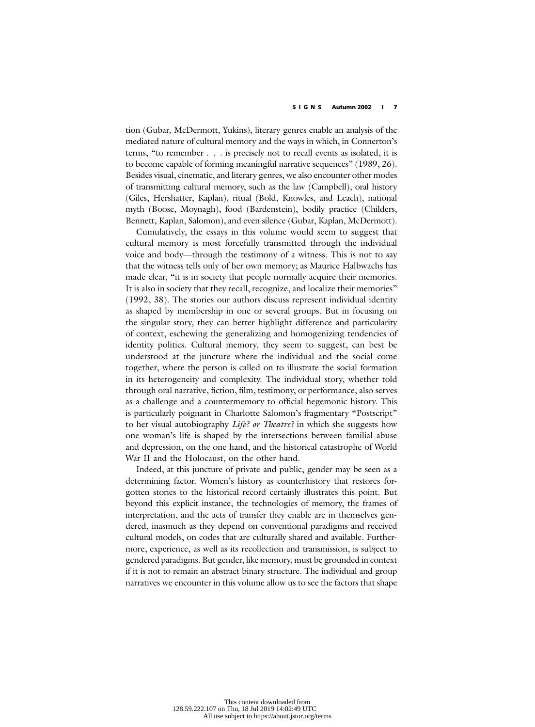tion (Gubar, McDermott, Yukins), literary genres enable an analysis of the mediated nature of cultural memory and the ways in which, in Connerton's terms, "to remember . . . is precisely not to recall events as isolated, it is to become capable of forming meaningful narrative sequences" (1989, 26). Besides visual, cinematic, and literary genres, we also encounter other modes of transmitting cultural memory, such as the law (Campbell), oral history (Giles, Hershatter, Kaplan), ritual (Bold, Knowles, and Leach), national myth (Boose, Moynagh), food (Bardenstein), bodily practice (Childers, Bennett, Kaplan, Salomon), and even silence (Gubar, Kaplan, McDermott).

Cumulatively, the essays in this volume would seem to suggest that cultural memory is most forcefully transmitted through the individual voice and body—through the testimony of a witness. This is not to say that the witness tells only of her own memory; as Maurice Halbwachs has made clear, "it is in society that people normally acquire their memories. It is also in society that they recall, recognize, and localize their memories" (1992, 38). The stories our authors discuss represent individual identity as shaped by membership in one or several groups. But in focusing on the singular story, they can better highlight difference and particularity of context, eschewing the generalizing and homogenizing tendencies of identity politics. Cultural memory, they seem to suggest, can best be understood at the juncture where the individual and the social come together, where the person is called on to illustrate the social formation in its heterogeneity and complexity. The individual story, whether told through oral narrative, fiction, film, testimony, or performance, also serves as a challenge and a countermemory to official hegemonic history. This is particularly poignant in Charlotte Salomon's fragmentary "Postscript" to her visual autobiography *Life? or Theatre?* in which she suggests how one woman's life is shaped by the intersections between familial abuse and depression, on the one hand, and the historical catastrophe of World War II and the Holocaust, on the other hand.

Indeed, at this juncture of private and public, gender may be seen as a determining factor. Women's history as counterhistory that restores forgotten stories to the historical record certainly illustrates this point. But beyond this explicit instance, the technologies of memory, the frames of interpretation, and the acts of transfer they enable are in themselves gendered, inasmuch as they depend on conventional paradigms and received cultural models, on codes that are culturally shared and available. Furthermore, experience, as well as its recollection and transmission, is subject to gendered paradigms. But gender, like memory, must be grounded in context if it is not to remain an abstract binary structure. The individual and group narratives we encounter in this volume allow us to see the factors that shape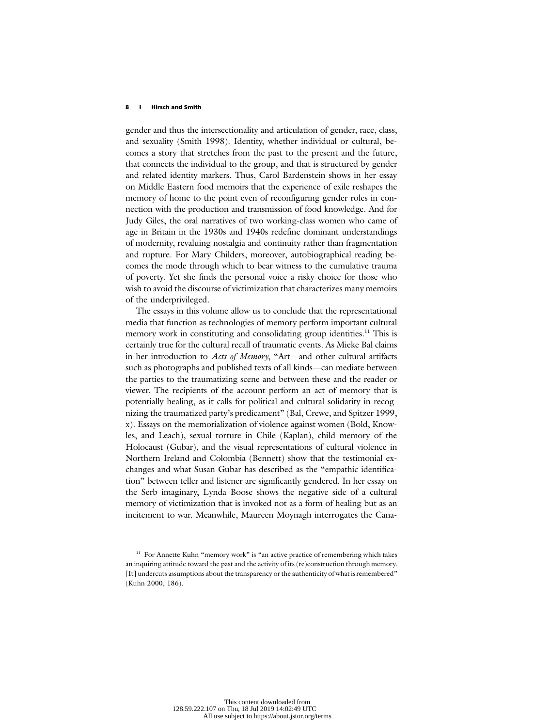gender and thus the intersectionality and articulation of gender, race, class, and sexuality (Smith 1998). Identity, whether individual or cultural, becomes a story that stretches from the past to the present and the future, that connects the individual to the group, and that is structured by gender and related identity markers. Thus, Carol Bardenstein shows in her essay on Middle Eastern food memoirs that the experience of exile reshapes the memory of home to the point even of reconfiguring gender roles in connection with the production and transmission of food knowledge. And for Judy Giles, the oral narratives of two working-class women who came of age in Britain in the 1930s and 1940s redefine dominant understandings of modernity, revaluing nostalgia and continuity rather than fragmentation and rupture. For Mary Childers, moreover, autobiographical reading becomes the mode through which to bear witness to the cumulative trauma of poverty. Yet she finds the personal voice a risky choice for those who wish to avoid the discourse of victimization that characterizes many memoirs of the underprivileged.

The essays in this volume allow us to conclude that the representational media that function as technologies of memory perform important cultural memory work in constituting and consolidating group identities.<sup>11</sup> This is certainly true for the cultural recall of traumatic events. As Mieke Bal claims in her introduction to *Acts of Memory*, "Art—and other cultural artifacts such as photographs and published texts of all kinds—can mediate between the parties to the traumatizing scene and between these and the reader or viewer. The recipients of the account perform an act of memory that is potentially healing, as it calls for political and cultural solidarity in recognizing the traumatized party's predicament" (Bal, Crewe, and Spitzer 1999, x). Essays on the memorialization of violence against women (Bold, Knowles, and Leach), sexual torture in Chile (Kaplan), child memory of the Holocaust (Gubar), and the visual representations of cultural violence in Northern Ireland and Colombia (Bennett) show that the testimonial exchanges and what Susan Gubar has described as the "empathic identification" between teller and listener are significantly gendered. In her essay on the Serb imaginary, Lynda Boose shows the negative side of a cultural memory of victimization that is invoked not as a form of healing but as an incitement to war. Meanwhile, Maureen Moynagh interrogates the Cana-

<sup>&</sup>lt;sup>11</sup> For Annette Kuhn "memory work" is "an active practice of remembering which takes an inquiring attitude toward the past and the activity of its (re)construction through memory. [It] undercuts assumptions about the transparency or the authenticity of what is remembered" (Kuhn 2000, 186).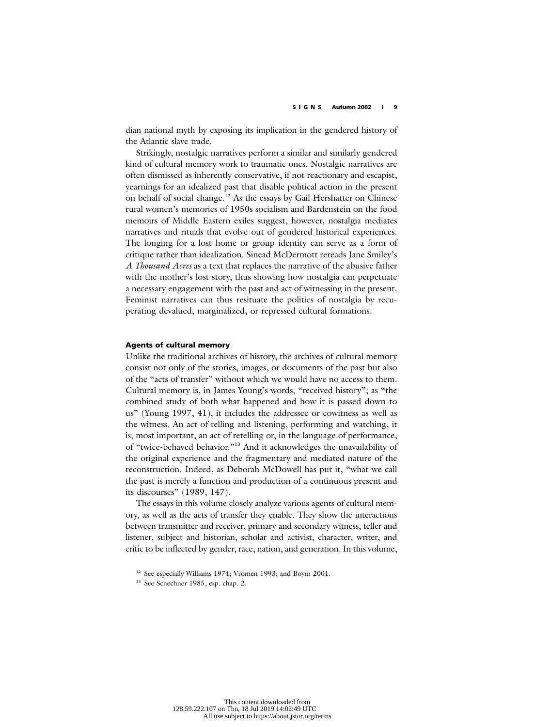dian national myth by exposing its implication in the gendered history of the Atlantic slave trade.

Strikingly, nostalgic narratives perform a similar and similarly gendered kind of cultural memory work to traumatic ones. Nostalgic narratives are often dismissed as inherently conservative, if not reactionary and escapist, yearnings for an idealized past that disable political action in the present on behalf of social change.<sup>12</sup> As the essays by Gail Hershatter on Chinese rural women's memories of 1950s socialism and Bardenstein on the food memoirs of Middle Eastern exiles suggest, however, nostalgia mediates narratives and rituals that evolve out of gendered historical experiences. The longing for a lost home or group identity can serve as a form of critique rather than idealization. Sinead McDermott rereads Jane Smiley's *A Thousand Acres* as a text that replaces the narrative of the abusive father with the mother's lost story, thus showing how nostalgia can perpetuate a necessary engagement with the past and act of witnessing in the present. Feminist narratives can thus resituate the politics of nostalgia by recuperating devalued, marginalized, or repressed cultural formations.

# **Agents of cultural memory**

Unlike the traditional archives of history, the archives of cultural memory consist not only of the stories, images, or documents of the past but also of the "acts of transfer" without which we would have no access to them. Cultural memory is, in James Young's words, "received history"; as "the combined study of both what happened and how it is passed down to us" (Young 1997, 41), it includes the addressee or cowitness as well as the witness. An act of telling and listening, performing and watching, it is, most important, an act of retelling or, in the language of performance, of "twice-behaved behavior."<sup>13</sup> And it acknowledges the unavailability of the original experience and the fragmentary and mediated nature of the reconstruction. Indeed, as Deborah McDowell has put it, "what we call the past is merely a function and production of a continuous present and its discourses" (1989, 147).

The essays in this volume closely analyze various agents of cultural memory, as well as the acts of transfer they enable. They show the interactions between transmitter and receiver, primary and secondary witness, teller and listener, subject and historian, scholar and activist, character, writer, and critic to be inflected by gender, race, nation, and generation. In this volume,

<sup>&</sup>lt;sup>12</sup> See especially Williams 1974; Vromen 1993; and Boym 2001.

<sup>&</sup>lt;sup>13</sup> See Schechner 1985, esp. chap. 2.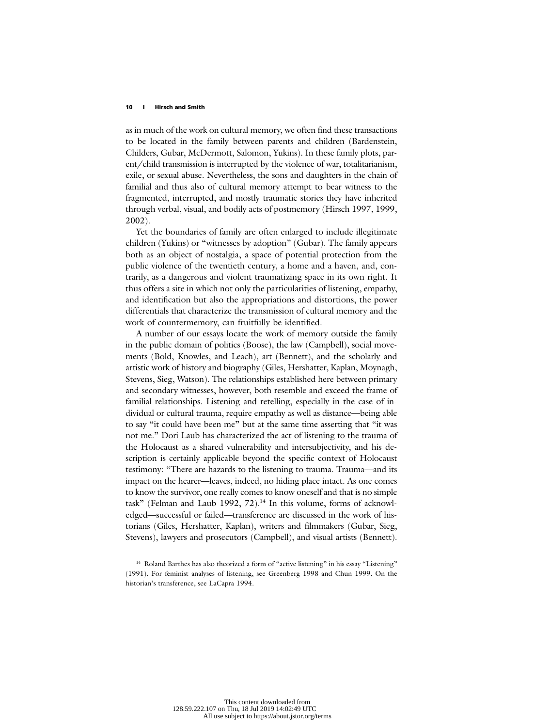as in much of the work on cultural memory, we often find these transactions to be located in the family between parents and children (Bardenstein, Childers, Gubar, McDermott, Salomon, Yukins). In these family plots, parent/child transmission is interrupted by the violence of war, totalitarianism, exile, or sexual abuse. Nevertheless, the sons and daughters in the chain of familial and thus also of cultural memory attempt to bear witness to the fragmented, interrupted, and mostly traumatic stories they have inherited through verbal, visual, and bodily acts of postmemory (Hirsch 1997, 1999, 2002).

Yet the boundaries of family are often enlarged to include illegitimate children (Yukins) or "witnesses by adoption" (Gubar). The family appears both as an object of nostalgia, a space of potential protection from the public violence of the twentieth century, a home and a haven, and, contrarily, as a dangerous and violent traumatizing space in its own right. It thus offers a site in which not only the particularities of listening, empathy, and identification but also the appropriations and distortions, the power differentials that characterize the transmission of cultural memory and the work of countermemory, can fruitfully be identified.

A number of our essays locate the work of memory outside the family in the public domain of politics (Boose), the law (Campbell), social movements (Bold, Knowles, and Leach), art (Bennett), and the scholarly and artistic work of history and biography (Giles, Hershatter, Kaplan, Moynagh, Stevens, Sieg, Watson). The relationships established here between primary and secondary witnesses, however, both resemble and exceed the frame of familial relationships. Listening and retelling, especially in the case of individual or cultural trauma, require empathy as well as distance—being able to say "it could have been me" but at the same time asserting that "it was not me." Dori Laub has characterized the act of listening to the trauma of the Holocaust as a shared vulnerability and intersubjectivity, and his description is certainly applicable beyond the specific context of Holocaust testimony: "There are hazards to the listening to trauma. Trauma—and its impact on the hearer—leaves, indeed, no hiding place intact. As one comes to know the survivor, one really comes to know oneself and that is no simple task" (Felman and Laub 1992,  $72$ ).<sup>14</sup> In this volume, forms of acknowledged—successful or failed—transference are discussed in the work of historians (Giles, Hershatter, Kaplan), writers and filmmakers (Gubar, Sieg, Stevens), lawyers and prosecutors (Campbell), and visual artists (Bennett).

<sup>&</sup>lt;sup>14</sup> Roland Barthes has also theorized a form of "active listening" in his essay "Listening" (1991). For feminist analyses of listening, see Greenberg 1998 and Chun 1999. On the historian's transference, see LaCapra 1994.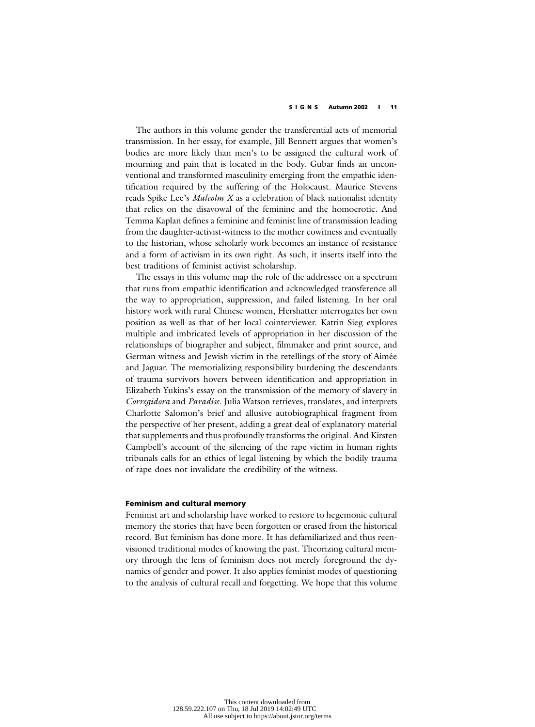The authors in this volume gender the transferential acts of memorial transmission. In her essay, for example, Jill Bennett argues that women's bodies are more likely than men's to be assigned the cultural work of mourning and pain that is located in the body. Gubar finds an unconventional and transformed masculinity emerging from the empathic identification required by the suffering of the Holocaust. Maurice Stevens reads Spike Lee's *Malcolm X* as a celebration of black nationalist identity that relies on the disavowal of the feminine and the homoerotic. And Temma Kaplan defines a feminine and feminist line of transmission leading from the daughter-activist-witness to the mother cowitness and eventually to the historian, whose scholarly work becomes an instance of resistance and a form of activism in its own right. As such, it inserts itself into the best traditions of feminist activist scholarship.

The essays in this volume map the role of the addressee on a spectrum that runs from empathic identification and acknowledged transference all the way to appropriation, suppression, and failed listening. In her oral history work with rural Chinese women, Hershatter interrogates her own position as well as that of her local cointerviewer. Katrin Sieg explores multiple and imbricated levels of appropriation in her discussion of the relationships of biographer and subject, filmmaker and print source, and German witness and Jewish victim in the retellings of the story of Aimée and Jaguar. The memorializing responsibility burdening the descendants of trauma survivors hovers between identification and appropriation in Elizabeth Yukins's essay on the transmission of the memory of slavery in *Corregidora* and *Paradise*. Julia Watson retrieves, translates, and interprets Charlotte Salomon's brief and allusive autobiographical fragment from the perspective of her present, adding a great deal of explanatory material that supplements and thus profoundly transforms the original. And Kirsten Campbell's account of the silencing of the rape victim in human rights tribunals calls for an ethics of legal listening by which the bodily trauma of rape does not invalidate the credibility of the witness.

### **Feminism and cultural memory**

Feminist art and scholarship have worked to restore to hegemonic cultural memory the stories that have been forgotten or erased from the historical record. But feminism has done more. It has defamiliarized and thus reenvisioned traditional modes of knowing the past. Theorizing cultural memory through the lens of feminism does not merely foreground the dynamics of gender and power. It also applies feminist modes of questioning to the analysis of cultural recall and forgetting. We hope that this volume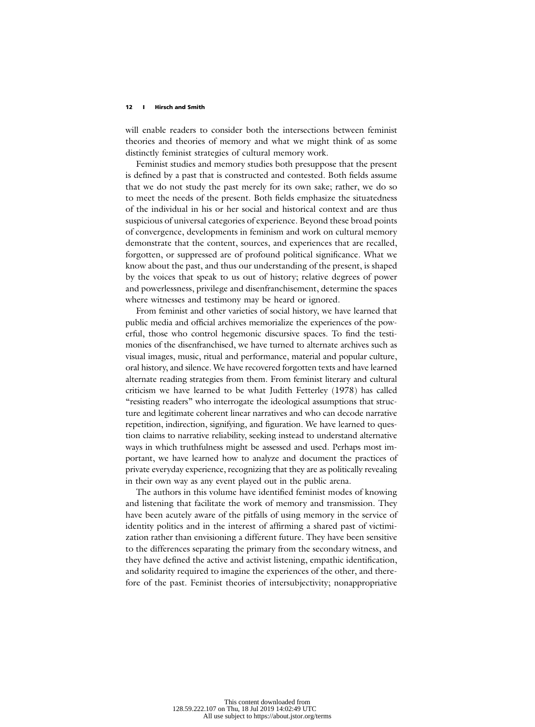will enable readers to consider both the intersections between feminist theories and theories of memory and what we might think of as some distinctly feminist strategies of cultural memory work.

Feminist studies and memory studies both presuppose that the present is defined by a past that is constructed and contested. Both fields assume that we do not study the past merely for its own sake; rather, we do so to meet the needs of the present. Both fields emphasize the situatedness of the individual in his or her social and historical context and are thus suspicious of universal categories of experience. Beyond these broad points of convergence, developments in feminism and work on cultural memory demonstrate that the content, sources, and experiences that are recalled, forgotten, or suppressed are of profound political significance. What we know about the past, and thus our understanding of the present, is shaped by the voices that speak to us out of history; relative degrees of power and powerlessness, privilege and disenfranchisement, determine the spaces where witnesses and testimony may be heard or ignored.

From feminist and other varieties of social history, we have learned that public media and official archives memorialize the experiences of the powerful, those who control hegemonic discursive spaces. To find the testimonies of the disenfranchised, we have turned to alternate archives such as visual images, music, ritual and performance, material and popular culture, oral history, and silence. We have recovered forgotten texts and have learned alternate reading strategies from them. From feminist literary and cultural criticism we have learned to be what Judith Fetterley (1978) has called "resisting readers" who interrogate the ideological assumptions that structure and legitimate coherent linear narratives and who can decode narrative repetition, indirection, signifying, and figuration. We have learned to question claims to narrative reliability, seeking instead to understand alternative ways in which truthfulness might be assessed and used. Perhaps most important, we have learned how to analyze and document the practices of private everyday experience, recognizing that they are as politically revealing in their own way as any event played out in the public arena.

The authors in this volume have identified feminist modes of knowing and listening that facilitate the work of memory and transmission. They have been acutely aware of the pitfalls of using memory in the service of identity politics and in the interest of affirming a shared past of victimization rather than envisioning a different future. They have been sensitive to the differences separating the primary from the secondary witness, and they have defined the active and activist listening, empathic identification, and solidarity required to imagine the experiences of the other, and therefore of the past. Feminist theories of intersubjectivity; nonappropriative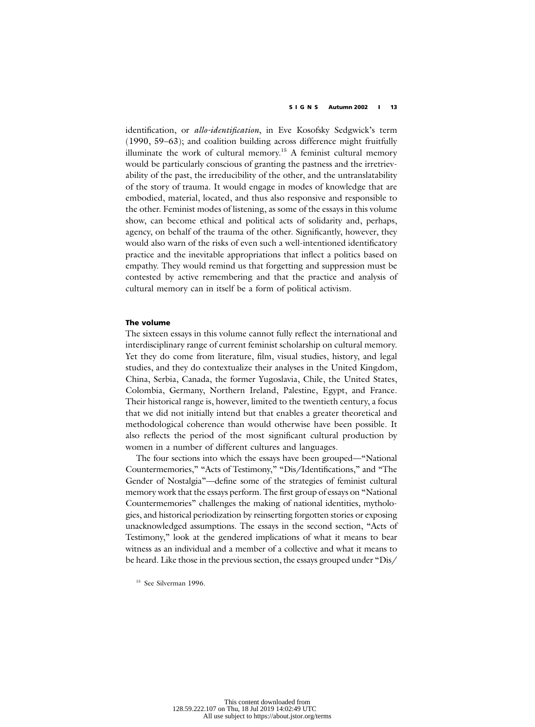identification, or *allo-identification*, in Eve Kosofsky Sedgwick's term (1990, 59–63); and coalition building across difference might fruitfully illuminate the work of cultural memory.<sup>15</sup> A feminist cultural memory would be particularly conscious of granting the pastness and the irretrievability of the past, the irreducibility of the other, and the untranslatability of the story of trauma. It would engage in modes of knowledge that are embodied, material, located, and thus also responsive and responsible to the other. Feminist modes of listening, as some of the essays in this volume show, can become ethical and political acts of solidarity and, perhaps, agency, on behalf of the trauma of the other. Significantly, however, they would also warn of the risks of even such a well-intentioned identificatory practice and the inevitable appropriations that inflect a politics based on empathy. They would remind us that forgetting and suppression must be contested by active remembering and that the practice and analysis of cultural memory can in itself be a form of political activism.

# **The volume**

The sixteen essays in this volume cannot fully reflect the international and interdisciplinary range of current feminist scholarship on cultural memory. Yet they do come from literature, film, visual studies, history, and legal studies, and they do contextualize their analyses in the United Kingdom, China, Serbia, Canada, the former Yugoslavia, Chile, the United States, Colombia, Germany, Northern Ireland, Palestine, Egypt, and France. Their historical range is, however, limited to the twentieth century, a focus that we did not initially intend but that enables a greater theoretical and methodological coherence than would otherwise have been possible. It also reflects the period of the most significant cultural production by women in a number of different cultures and languages.

The four sections into which the essays have been grouped—"National Countermemories," "Acts of Testimony," "Dis/Identifications," and "The Gender of Nostalgia"—define some of the strategies of feminist cultural memory work that the essays perform. The first group of essays on "National Countermemories" challenges the making of national identities, mythologies, and historical periodization by reinserting forgotten stories or exposing unacknowledged assumptions. The essays in the second section, "Acts of Testimony," look at the gendered implications of what it means to bear witness as an individual and a member of a collective and what it means to be heard. Like those in the previous section, the essays grouped under "Dis/

<sup>15</sup> See Silverman 1996.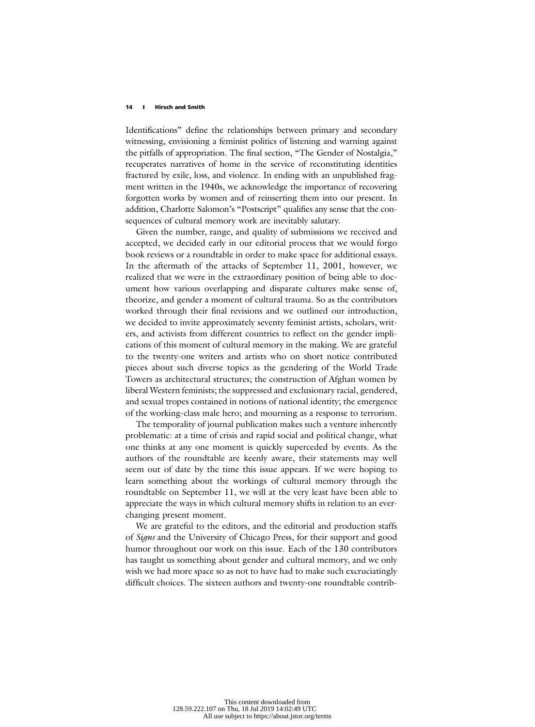Identifications" define the relationships between primary and secondary witnessing, envisioning a feminist politics of listening and warning against the pitfalls of appropriation. The final section, "The Gender of Nostalgia," recuperates narratives of home in the service of reconstituting identities fractured by exile, loss, and violence. In ending with an unpublished fragment written in the 1940s, we acknowledge the importance of recovering forgotten works by women and of reinserting them into our present. In addition, Charlotte Salomon's "Postscript" qualifies any sense that the consequences of cultural memory work are inevitably salutary.

Given the number, range, and quality of submissions we received and accepted, we decided early in our editorial process that we would forgo book reviews or a roundtable in order to make space for additional essays. In the aftermath of the attacks of September 11, 2001, however, we realized that we were in the extraordinary position of being able to document how various overlapping and disparate cultures make sense of, theorize, and gender a moment of cultural trauma. So as the contributors worked through their final revisions and we outlined our introduction, we decided to invite approximately seventy feminist artists, scholars, writers, and activists from different countries to reflect on the gender implications of this moment of cultural memory in the making. We are grateful to the twenty-one writers and artists who on short notice contributed pieces about such diverse topics as the gendering of the World Trade Towers as architectural structures; the construction of Afghan women by liberal Western feminists; the suppressed and exclusionary racial, gendered, and sexual tropes contained in notions of national identity; the emergence of the working-class male hero; and mourning as a response to terrorism.

The temporality of journal publication makes such a venture inherently problematic: at a time of crisis and rapid social and political change, what one thinks at any one moment is quickly superceded by events. As the authors of the roundtable are keenly aware, their statements may well seem out of date by the time this issue appears. If we were hoping to learn something about the workings of cultural memory through the roundtable on September 11, we will at the very least have been able to appreciate the ways in which cultural memory shifts in relation to an everchanging present moment.

We are grateful to the editors, and the editorial and production staffs of *Signs* and the University of Chicago Press, for their support and good humor throughout our work on this issue. Each of the 130 contributors has taught us something about gender and cultural memory, and we only wish we had more space so as not to have had to make such excruciatingly difficult choices. The sixteen authors and twenty-one roundtable contrib-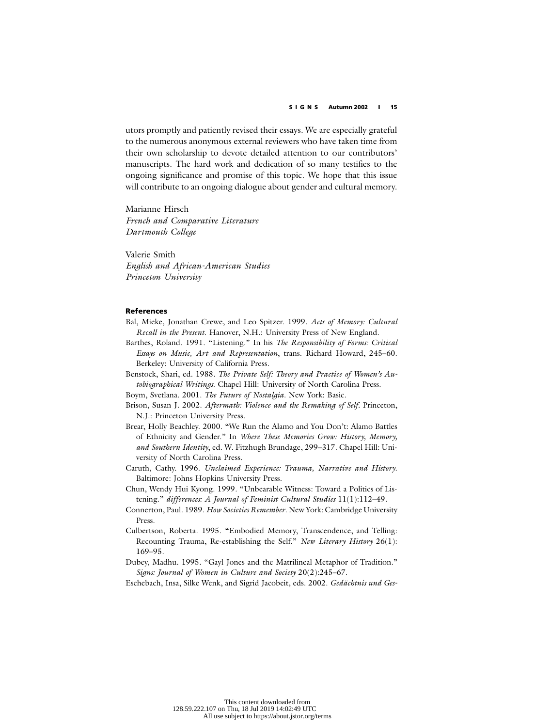utors promptly and patiently revised their essays. We are especially grateful to the numerous anonymous external reviewers who have taken time from their own scholarship to devote detailed attention to our contributors' manuscripts. The hard work and dedication of so many testifies to the ongoing significance and promise of this topic. We hope that this issue will contribute to an ongoing dialogue about gender and cultural memory.

Marianne Hirsch *French and Comparative Literature Dartmouth College*

Valerie Smith *English and African-American Studies Princeton University*

# **References**

- Bal, Mieke, Jonathan Crewe, and Leo Spitzer. 1999. *Acts of Memory: Cultural Recall in the Present*. Hanover, N.H.: University Press of New England.
- Barthes, Roland. 1991. "Listening." In his *The Responsibility of Forms: Critical Essays on Music, Art and Representation*, trans. Richard Howard, 245–60. Berkeley: University of California Press.
- Benstock, Shari, ed. 1988. *The Private Self: Theory and Practice of Women's Autobiographical Writings*. Chapel Hill: University of North Carolina Press.
- Boym, Svetlana. 2001. *The Future of Nostalgia*. New York: Basic.
- Brison, Susan J. 2002. *Aftermath: Violence and the Remaking of Self*. Princeton, N.J.: Princeton University Press.
- Brear, Holly Beachley. 2000. "We Run the Alamo and You Don't: Alamo Battles of Ethnicity and Gender." In *Where These Memories Grow: History, Memory, and Southern Identity*, ed. W. Fitzhugh Brundage, 299–317. Chapel Hill: University of North Carolina Press.
- Caruth, Cathy. 1996. *Unclaimed Experience: Trauma, Narrative and History*. Baltimore: Johns Hopkins University Press.
- Chun, Wendy Hui Kyong. 1999. "Unbearable Witness: Toward a Politics of Listening." *differences: A Journal of Feminist Cultural Studies* 11(1):112–49.
- Connerton, Paul. 1989. *How Societies Remember*. New York: Cambridge University Press.
- Culbertson, Roberta. 1995. "Embodied Memory, Transcendence, and Telling: Recounting Trauma, Re-establishing the Self." *New Literary History* 26(1): 169–95.
- Dubey, Madhu. 1995. "Gayl Jones and the Matrilineal Metaphor of Tradition." *Signs: Journal of Women in Culture and Society* 20(2):245–67.

Eschebach, Insa, Silke Wenk, and Sigrid Jacobeit, eds. 2002. *Gedächtnis und Ges-*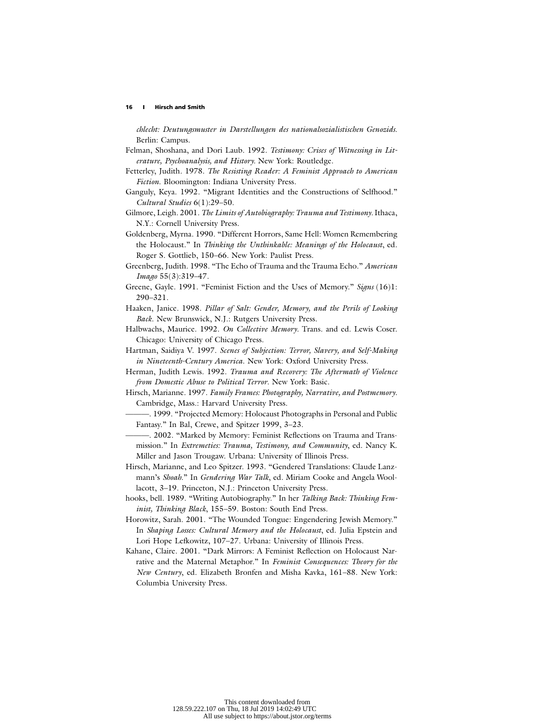*chlecht: Deutungsmuster in Darstellungen des nationalsozialistischen Genozids*. Berlin: Campus.

- Felman, Shoshana, and Dori Laub. 1992. *Testimony: Crises of Witnessing in Literature, Psychoanalysis, and History.* New York: Routledge.
- Fetterley, Judith. 1978. *The Resisting Reader: A Feminist Approach to American Fiction*. Bloomington: Indiana University Press.
- Ganguly, Keya. 1992. "Migrant Identities and the Constructions of Selfhood." *Cultural Studies* 6(1):29–50.
- Gilmore, Leigh. 2001. *The Limits of Autobiography: Trauma and Testimony*. Ithaca, N.Y.: Cornell University Press.
- Goldenberg, Myrna. 1990. "Different Horrors, Same Hell: Women Remembering the Holocaust." In *Thinking the Unthinkable: Meanings of the Holocaust*, ed. Roger S. Gottlieb, 150–66. New York: Paulist Press.
- Greenberg, Judith. 1998. "The Echo of Trauma and the Trauma Echo." *American Imago* 55(3):319–47.
- Greene, Gayle. 1991. "Feminist Fiction and the Uses of Memory." *Signs* (16)1: 290–321.
- Haaken, Janice. 1998. *Pillar of Salt: Gender, Memory, and the Perils of Looking Back*. New Brunswick, N.J.: Rutgers University Press.
- Halbwachs, Maurice. 1992. *On Collective Memory*. Trans. and ed. Lewis Coser. Chicago: University of Chicago Press.
- Hartman, Saidiya V. 1997. *Scenes of Subjection: Terror, Slavery, and Self-Making in Nineteenth-Century America*. New York: Oxford University Press.
- Herman, Judith Lewis. 1992. *Trauma and Recovery: The Aftermath of Violence from Domestic Abuse to Political Terror*. New York: Basic.
- Hirsch, Marianne. 1997. *Family Frames: Photography, Narrative, and Postmemory*. Cambridge, Mass.: Harvard University Press.
- ———. 1999. "Projected Memory: Holocaust Photographs in Personal and Public Fantasy." In Bal, Crewe, and Spitzer 1999, 3–23.
- -. 2002. "Marked by Memory: Feminist Reflections on Trauma and Transmission." In *Extremeties: Trauma, Testimony, and Community*, ed. Nancy K. Miller and Jason Trougaw. Urbana: University of Illinois Press.
- Hirsch, Marianne, and Leo Spitzer. 1993. "Gendered Translations: Claude Lanzmann's *Shoah*." In *Gendering War Talk*, ed. Miriam Cooke and Angela Woollacott, 3–19. Princeton, N.J.: Princeton University Press.
- hooks, bell. 1989. "Writing Autobiography." In her *Talking Back: Thinking Feminist, Thinking Black*, 155–59. Boston: South End Press.
- Horowitz, Sarah. 2001. "The Wounded Tongue: Engendering Jewish Memory." In *Shaping Losses: Cultural Memory and the Holocaust*, ed. Julia Epstein and Lori Hope Lefkowitz, 107–27. Urbana: University of Illinois Press.
- Kahane, Claire. 2001. "Dark Mirrors: A Feminist Reflection on Holocaust Narrative and the Maternal Metaphor." In *Feminist Consequences: Theory for the New Century*, ed. Elizabeth Bronfen and Misha Kavka, 161–88. New York: Columbia University Press.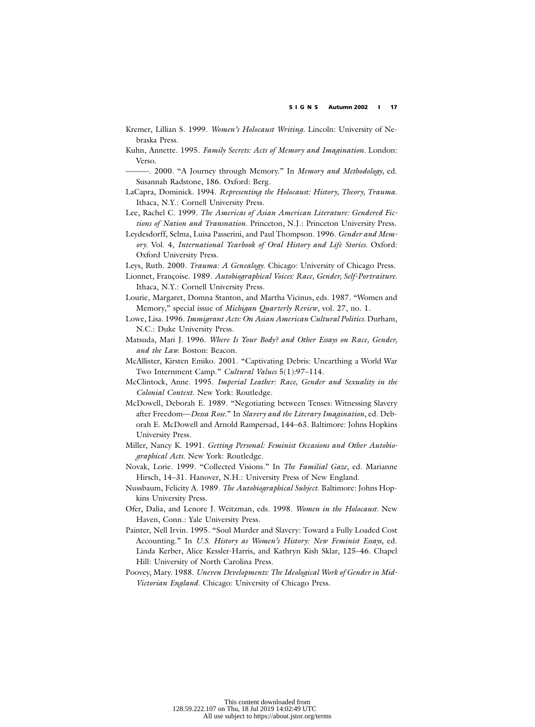- Kremer, Lillian S. 1999. *Women's Holocaust Writing*. Lincoln: University of Nebraska Press.
- Kuhn, Annette. 1995. *Family Secrets: Acts of Memory and Imagination*. London: Verso.
- ———. 2000. "A Journey through Memory." In *Memory and Methodology*, ed. Susannah Radstone, 186. Oxford: Berg.
- LaCapra, Dominick. 1994. *Representing the Holocaust: History, Theory, Trauma*. Ithaca, N.Y.: Cornell University Press.
- Lee, Rachel C. 1999. *The Americas of Asian American Literature: Gendered Fictions of Nation and Transnation*. Princeton, N.J.: Princeton University Press.
- Leydesdorff, Selma, Luisa Passerini, and Paul Thompson. 1996. *Gender and Memory*. Vol. 4, *International Yearbook of Oral History and Life Stories*. Oxford: Oxford University Press.
- Leys, Ruth. 2000. *Trauma: A Genealogy*. Chicago: University of Chicago Press.
- Lionnet, Françoise. 1989. *Autobiographical Voices: Race, Gender, Self-Portraiture*. Ithaca, N.Y.: Cornell University Press.
- Lourie, Margaret, Domna Stanton, and Martha Vicinus, eds. 1987. "Women and Memory," special issue of *Michigan Quarterly Review*, vol. 27, no. 1.
- Lowe, Lisa. 1996. *Immigrant Acts: On Asian American Cultural Politics*. Durham, N.C.: Duke University Press.
- Matsuda, Mari J. 1996. *Where Is Your Body? and Other Essays on Race, Gender, and the Law.* Boston: Beacon.
- McAllister, Kirsten Emiko. 2001. "Captivating Debris: Unearthing a World War Two Internment Camp." *Cultural Values* 5(1):97–114.
- McClintock, Anne. 1995. *Imperial Leather: Race, Gender and Sexuality in the Colonial Context*. New York: Routledge.
- McDowell, Deborah E. 1989. "Negotiating between Tenses: Witnessing Slavery after Freedom—*Dessa Rose.*" In *Slavery and the Literary Imagination*, ed. Deborah E. McDowell and Arnold Rampersad, 144–63. Baltimore: Johns Hopkins University Press.
- Miller, Nancy K. 1991. *Getting Personal: Feminist Occasions and Other Autobiographical Acts*. New York: Routledge.
- Novak, Lorie. 1999. "Collected Visions." In *The Familial Gaze*, ed. Marianne Hirsch, 14–31. Hanover, N.H.: University Press of New England.
- Nussbaum, Felicity A. 1989. *The Autobiographical Subject*. Baltimore: Johns Hopkins University Press.
- Ofer, Dalia, and Lenore J. Weitzman, eds. 1998. *Women in the Holocaust*. New Haven, Conn.: Yale University Press.
- Painter, Nell Irvin. 1995. "Soul Murder and Slavery: Toward a Fully Loaded Cost Accounting." In *U.S. History as Women's History: New Feminist Essays*, ed. Linda Kerber, Alice Kessler-Harris, and Kathryn Kish Sklar, 125–46. Chapel Hill: University of North Carolina Press.
- Poovey, Mary. 1988. *Uneven Developments: The Ideological Work of Gender in Mid-Victorian England*. Chicago: University of Chicago Press.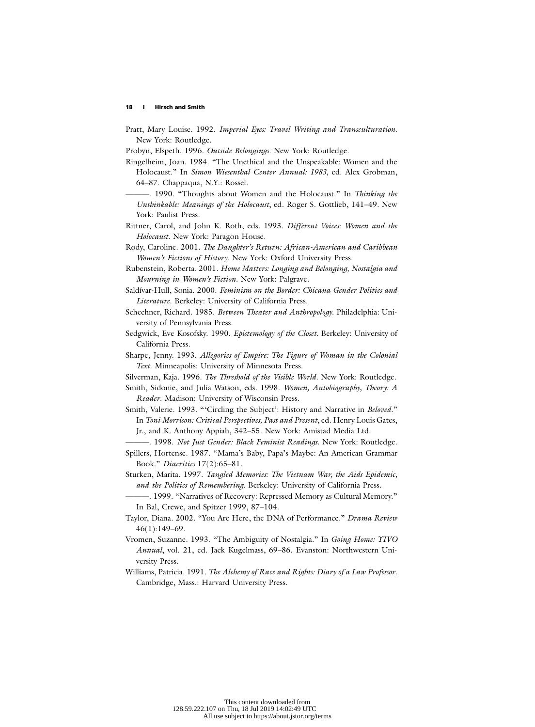Pratt, Mary Louise. 1992. *Imperial Eyes: Travel Writing and Transculturation*. New York: Routledge.

- Ringelheim, Joan. 1984. "The Unethical and the Unspeakable: Women and the Holocaust." In *Simon Wiesenthal Center Annual: 1983*, ed. Alex Grobman, 64–87. Chappaqua, N.Y.: Rossel.
	- ———. 1990. "Thoughts about Women and the Holocaust." In *Thinking the Unthinkable: Meanings of the Holocaust*, ed. Roger S. Gottlieb, 141–49. New York: Paulist Press.
- Rittner, Carol, and John K. Roth, eds. 1993. *Different Voices: Women and the Holocaust*. New York: Paragon House.
- Rody, Caroline. 2001. *The Daughter's Return: African-American and Caribbean Women's Fictions of History*. New York: Oxford University Press.
- Rubenstein, Roberta. 2001. *Home Matters: Longing and Belonging, Nostalgia and Mourning in Women's Fiction*. New York: Palgrave.
- Saldı´var-Hull, Sonia. 2000. *Feminism on the Border: Chicana Gender Politics and Literature*. Berkeley: University of California Press.
- Schechner, Richard. 1985. *Between Theater and Anthropology*. Philadelphia: University of Pennsylvania Press.
- Sedgwick, Eve Kosofsky. 1990. *Epistemology of the Closet*. Berkeley: University of California Press.
- Sharpe, Jenny. 1993. *Allegories of Empire: The Figure of Woman in the Colonial Text*. Minneapolis: University of Minnesota Press.
- Silverman, Kaja. 1996. *The Threshold of the Visible World*. New York: Routledge.
- Smith, Sidonie, and Julia Watson, eds. 1998. *Women, Autobiography, Theory: A Reader*. Madison: University of Wisconsin Press.
- Smith, Valerie. 1993. "'Circling the Subject': History and Narrative in *Beloved*." In *Toni Morrison: Critical Perspectives, Past and Present*, ed. Henry Louis Gates, Jr., and K. Anthony Appiah, 342–55. New York: Amistad Media Ltd.
- ———. 1998. *Not Just Gender: Black Feminist Readings*. New York: Routledge.
- Spillers, Hortense. 1987. "Mama's Baby, Papa's Maybe: An American Grammar Book." *Diacritics* 17(2):65–81.
- Sturken, Marita. 1997. *Tangled Memories: The Vietnam War, the Aids Epidemic, and the Politics of Remembering*. Berkeley: University of California Press.
- -. 1999. "Narratives of Recovery: Repressed Memory as Cultural Memory." In Bal, Crewe, and Spitzer 1999, 87–104.
- Taylor, Diana. 2002. "You Are Here, the DNA of Performance." *Drama Review* 46(1):149–69.
- Vromen, Suzanne. 1993. "The Ambiguity of Nostalgia." In *Going Home: YIVO Annual*, vol. 21, ed. Jack Kugelmass, 69–86. Evanston: Northwestern University Press.
- Williams, Patricia. 1991. *The Alchemy of Race and Rights: Diary of a Law Professor*. Cambridge, Mass.: Harvard University Press.

Probyn, Elspeth. 1996. *Outside Belongings*. New York: Routledge.